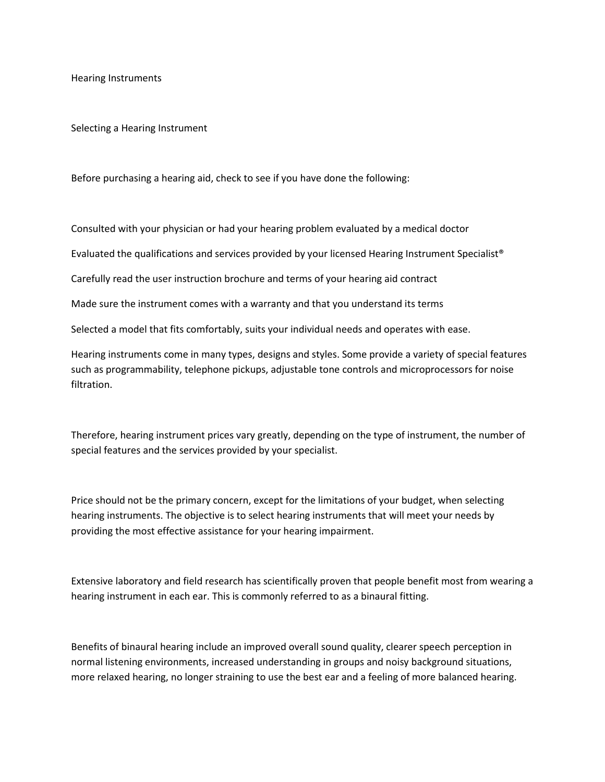Hearing Instruments

Selecting a Hearing Instrument

Before purchasing a hearing aid, check to see if you have done the following:

Consulted with your physician or had your hearing problem evaluated by a medical doctor

Evaluated the qualifications and services provided by your licensed Hearing Instrument Specialist®

Carefully read the user instruction brochure and terms of your hearing aid contract

Made sure the instrument comes with a warranty and that you understand its terms

Selected a model that fits comfortably, suits your individual needs and operates with ease.

Hearing instruments come in many types, designs and styles. Some provide a variety of special features such as programmability, telephone pickups, adjustable tone controls and microprocessors for noise filtration.

Therefore, hearing instrument prices vary greatly, depending on the type of instrument, the number of special features and the services provided by your specialist.

Price should not be the primary concern, except for the limitations of your budget, when selecting hearing instruments. The objective is to select hearing instruments that will meet your needs by providing the most effective assistance for your hearing impairment.

Extensive laboratory and field research has scientifically proven that people benefit most from wearing a hearing instrument in each ear. This is commonly referred to as a binaural fitting.

Benefits of binaural hearing include an improved overall sound quality, clearer speech perception in normal listening environments, increased understanding in groups and noisy background situations, more relaxed hearing, no longer straining to use the best ear and a feeling of more balanced hearing.